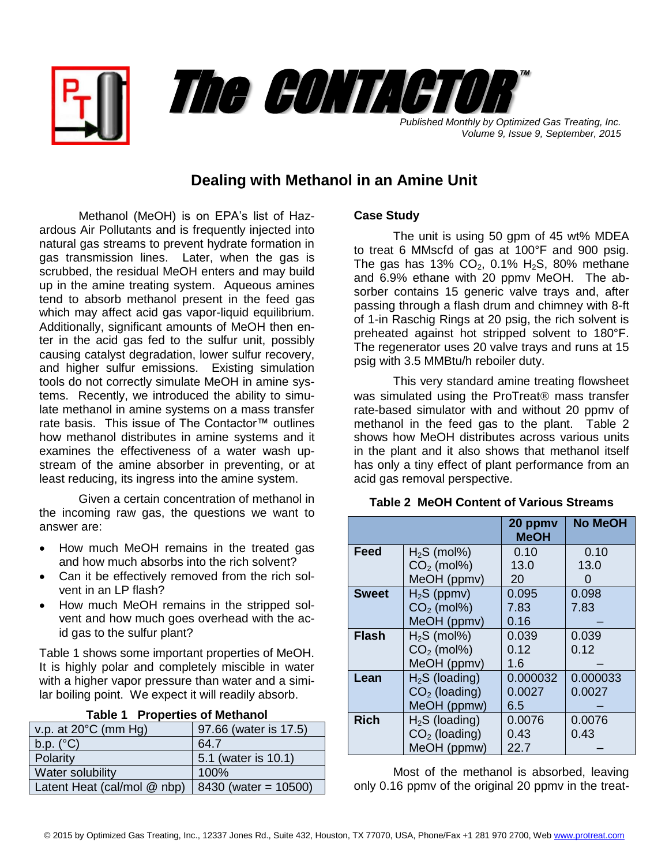



*Published Monthly by Optimized Gas Treating, Inc. Volume 9, Issue 9, September, 2015*

## **Dealing with Methanol in an Amine Unit**

Methanol (MeOH) is on EPA's list of Hazardous Air Pollutants and is frequently injected into natural gas streams to prevent hydrate formation in gas transmission lines. Later, when the gas is scrubbed, the residual MeOH enters and may build up in the amine treating system. Aqueous amines tend to absorb methanol present in the feed gas which may affect acid gas vapor-liquid equilibrium. Additionally, significant amounts of MeOH then enter in the acid gas fed to the sulfur unit, possibly causing catalyst degradation, lower sulfur recovery, and higher sulfur emissions. Existing simulation tools do not correctly simulate MeOH in amine systems. Recently, we introduced the ability to simulate methanol in amine systems on a mass transfer rate basis. This issue of The Contactor™ outlines how methanol distributes in amine systems and it examines the effectiveness of a water wash upstream of the amine absorber in preventing, or at least reducing, its ingress into the amine system.

Given a certain concentration of methanol in the incoming raw gas, the questions we want to answer are:

- How much MeOH remains in the treated gas and how much absorbs into the rich solvent?
- Can it be effectively removed from the rich solvent in an LP flash?
- How much MeOH remains in the stripped solvent and how much goes overhead with the acid gas to the sulfur plant?

Table 1 shows some important properties of MeOH. It is highly polar and completely miscible in water with a higher vapor pressure than water and a similar boiling point. We expect it will readily absorb.

| <b>Table 1 Properties of Methanol</b> |                        |  |  |
|---------------------------------------|------------------------|--|--|
| v.p. at $20^{\circ}$ C (mm Hg)        | 97.66 (water is 17.5)  |  |  |
| $b.p.$ ( $^{\circ}C$ )                | 64.7                   |  |  |
| Polarity                              | 5.1 (water is 10.1)    |  |  |
| Water solubility                      | 100%                   |  |  |
| Latent Heat (cal/mol @ nbp)           | $8430$ (water = 10500) |  |  |

## **Case Study**

The unit is using 50 gpm of 45 wt% MDEA to treat 6 MMscfd of gas at 100°F and 900 psig. The gas has 13%  $CO<sub>2</sub>$ , 0.1% H<sub>2</sub>S, 80% methane and 6.9% ethane with 20 ppmv MeOH. The absorber contains 15 generic valve trays and, after passing through a flash drum and chimney with 8-ft of 1-in Raschig Rings at 20 psig, the rich solvent is preheated against hot stripped solvent to 180°F. The regenerator uses 20 valve trays and runs at 15 psig with 3.5 MMBtu/h reboiler duty.

This very standard amine treating flowsheet was simulated using the ProTreat $<sup>®</sup>$  mass transfer</sup> rate-based simulator with and without 20 ppmv of methanol in the feed gas to the plant. Table 2 shows how MeOH distributes across various units in the plant and it also shows that methanol itself has only a tiny effect of plant performance from an acid gas removal perspective.

|              |                 | 20 ppmv<br><b>MeOH</b> | <b>No MeOH</b> |
|--------------|-----------------|------------------------|----------------|
| Feed         | $H2S$ (mol%)    | 0.10                   | 0.10           |
|              | $CO2$ (mol%)    | 13.0                   | 13.0           |
|              | MeOH (ppmv)     | 20                     | ი              |
| <b>Sweet</b> | $H_2S$ (ppmv)   | 0.095                  | 0.098          |
|              | $CO2$ (mol%)    | 7.83                   | 7.83           |
|              | MeOH (ppmv)     | 0.16                   |                |
| <b>Flash</b> | $H2S$ (mol%)    | 0.039                  | 0.039          |
|              | $CO2$ (mol%)    | 0.12                   | 0.12           |
|              | MeOH (ppmv)     | 1.6                    |                |
| Lean         | $H2S$ (loading) | 0.000032               | 0.000033       |
|              | $CO2$ (loading) | 0.0027                 | 0.0027         |
|              | MeOH (ppmw)     | 6.5                    |                |
| <b>Rich</b>  | $H2S$ (loading) | 0.0076                 | 0.0076         |
|              | $CO2$ (loading) | 0.43                   | 0.43           |
|              | MeOH (ppmw)     | 22.7                   |                |

**Table 2 MeOH Content of Various Streams**

Most of the methanol is absorbed, leaving only 0.16 ppmv of the original 20 ppmv in the treat